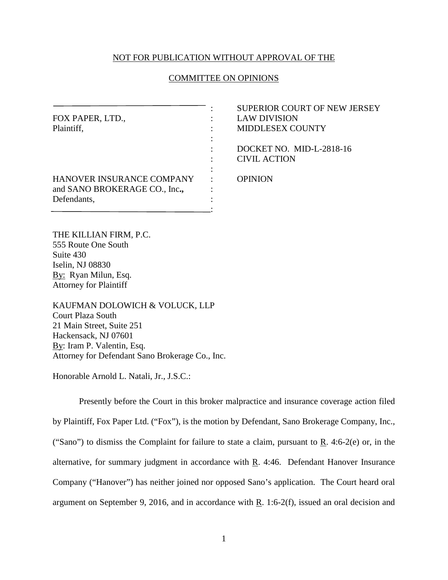## NOT FOR PUBLICATION WITHOUT APPROVAL OF THE

### COMMITTEE ON OPINIONS

|                               |   | <b>SUPERIOR COURT OF NEW JERSEY</b> |
|-------------------------------|---|-------------------------------------|
| FOX PAPER, LTD.,              |   | <b>LAW DIVISION</b>                 |
| Plaintiff,                    |   | <b>MIDDLESEX COUNTY</b>             |
|                               |   |                                     |
|                               |   | DOCKET NO. MID-L-2818-16            |
|                               |   | <b>CIVIL ACTION</b>                 |
|                               |   |                                     |
| HANOVER INSURANCE COMPANY     |   | <b>OPINION</b>                      |
| and SANO BROKERAGE CO., Inc., | ٠ |                                     |
| Defendants,                   |   |                                     |
|                               |   |                                     |

THE KILLIAN FIRM, P.C. 555 Route One South Suite 430 Iselin, NJ 08830 By: Ryan Milun, Esq. Attorney for Plaintiff

KAUFMAN DOLOWICH & VOLUCK, LLP Court Plaza South 21 Main Street, Suite 251 Hackensack, NJ 07601 By: Iram P. Valentin, Esq. Attorney for Defendant Sano Brokerage Co., Inc.

Honorable Arnold L. Natali, Jr., J.S.C.:

Presently before the Court in this broker malpractice and insurance coverage action filed by Plaintiff, Fox Paper Ltd. ("Fox"), is the motion by Defendant, Sano Brokerage Company, Inc., ("Sano") to dismiss the Complaint for failure to state a claim, pursuant to  $\mathbf{R}$ . 4:6-2(e) or, in the alternative, for summary judgment in accordance with R. 4:46. Defendant Hanover Insurance Company ("Hanover") has neither joined nor opposed Sano's application. The Court heard oral argument on September 9, 2016, and in accordance with  $R$ . 1:6-2(f), issued an oral decision and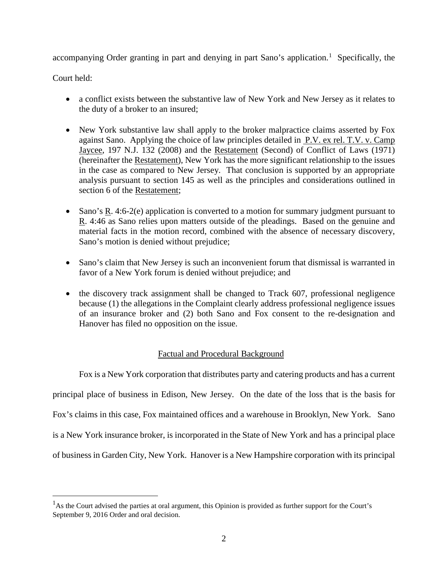accompanying Order granting in part and denying in part Sano's application.<sup>[1](#page-1-0)</sup> Specifically, the

Court held:

- a conflict exists between the substantive law of New York and New Jersey as it relates to the duty of a broker to an insured;
- New York substantive law shall apply to the broker malpractice claims asserted by Fox against Sano. Applying the choice of law principles detailed in P.V. ex rel. T.V. v. Camp Jaycee, 197 N.J. 132 (2008) and the Restatement (Second) of Conflict of Laws (1971) (hereinafter the Restatement), New York has the more significant relationship to the issues in the case as compared to New Jersey. That conclusion is supported by an appropriate analysis pursuant to section 145 as well as the principles and considerations outlined in section 6 of the Restatement;
- Sano's  $\overline{R}$ . 4:6-2(e) application is converted to a motion for summary judgment pursuant to R. 4:46 as Sano relies upon matters outside of the pleadings. Based on the genuine and material facts in the motion record, combined with the absence of necessary discovery, Sano's motion is denied without prejudice;
- Sano's claim that New Jersey is such an inconvenient forum that dismissal is warranted in favor of a New York forum is denied without prejudice; and
- the discovery track assignment shall be changed to Track 607, professional negligence because (1) the allegations in the Complaint clearly address professional negligence issues of an insurance broker and (2) both Sano and Fox consent to the re-designation and Hanover has filed no opposition on the issue.

# Factual and Procedural Background

Fox is a New York corporation that distributes party and catering products and has a current principal place of business in Edison, New Jersey. On the date of the loss that is the basis for Fox's claims in this case, Fox maintained offices and a warehouse in Brooklyn, New York. Sano is a New York insurance broker, is incorporated in the State of New York and has a principal place of business in Garden City, New York. Hanover is a New Hampshire corporation with its principal

<span id="page-1-0"></span> $\frac{1}{1}$  $^{1}$ As the Court advised the parties at oral argument, this Opinion is provided as further support for the Court's September 9, 2016 Order and oral decision.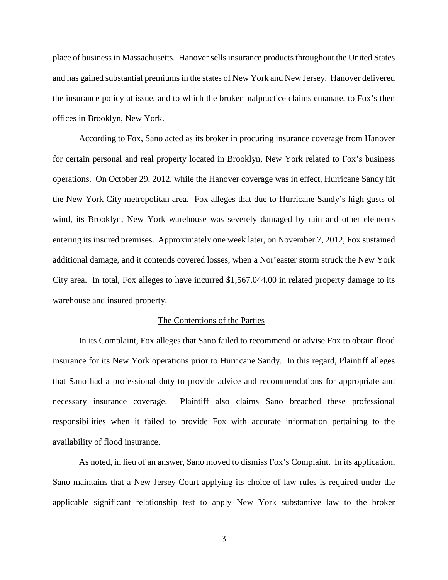place of business in Massachusetts. Hanover sells insurance products throughout the United States and has gained substantial premiums in the states of New York and New Jersey. Hanover delivered the insurance policy at issue, and to which the broker malpractice claims emanate, to Fox's then offices in Brooklyn, New York.

According to Fox, Sano acted as its broker in procuring insurance coverage from Hanover for certain personal and real property located in Brooklyn, New York related to Fox's business operations. On October 29, 2012, while the Hanover coverage was in effect, Hurricane Sandy hit the New York City metropolitan area. Fox alleges that due to Hurricane Sandy's high gusts of wind, its Brooklyn, New York warehouse was severely damaged by rain and other elements entering its insured premises. Approximately one week later, on November 7, 2012, Fox sustained additional damage, and it contends covered losses, when a Nor'easter storm struck the New York City area. In total, Fox alleges to have incurred \$1,567,044.00 in related property damage to its warehouse and insured property.

#### The Contentions of the Parties

In its Complaint, Fox alleges that Sano failed to recommend or advise Fox to obtain flood insurance for its New York operations prior to Hurricane Sandy. In this regard, Plaintiff alleges that Sano had a professional duty to provide advice and recommendations for appropriate and necessary insurance coverage. Plaintiff also claims Sano breached these professional responsibilities when it failed to provide Fox with accurate information pertaining to the availability of flood insurance.

As noted, in lieu of an answer, Sano moved to dismiss Fox's Complaint. In its application, Sano maintains that a New Jersey Court applying its choice of law rules is required under the applicable significant relationship test to apply New York substantive law to the broker

3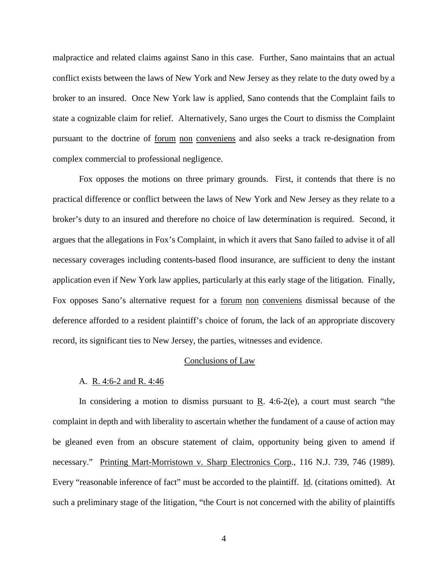malpractice and related claims against Sano in this case. Further, Sano maintains that an actual conflict exists between the laws of New York and New Jersey as they relate to the duty owed by a broker to an insured. Once New York law is applied, Sano contends that the Complaint fails to state a cognizable claim for relief. Alternatively, Sano urges the Court to dismiss the Complaint pursuant to the doctrine of forum non conveniens and also seeks a track re-designation from complex commercial to professional negligence.

Fox opposes the motions on three primary grounds. First, it contends that there is no practical difference or conflict between the laws of New York and New Jersey as they relate to a broker's duty to an insured and therefore no choice of law determination is required. Second, it argues that the allegations in Fox's Complaint, in which it avers that Sano failed to advise it of all necessary coverages including contents-based flood insurance, are sufficient to deny the instant application even if New York law applies, particularly at this early stage of the litigation. Finally, Fox opposes Sano's alternative request for a forum non conveniens dismissal because of the deference afforded to a resident plaintiff's choice of forum, the lack of an appropriate discovery record, its significant ties to New Jersey, the parties, witnesses and evidence.

# Conclusions of Law

#### A. R. 4:6-2 and R. 4:46

In considering a motion to dismiss pursuant to  $\underline{R}$ . 4:6-2(e), a court must search "the complaint in depth and with liberality to ascertain whether the fundament of a cause of action may be gleaned even from an obscure statement of claim, opportunity being given to amend if necessary." Printing Mart-Morristown v. Sharp Electronics Corp., 116 N.J. 739, 746 (1989). Every "reasonable inference of fact" must be accorded to the plaintiff. Id. (citations omitted). At such a preliminary stage of the litigation, "the Court is not concerned with the ability of plaintiffs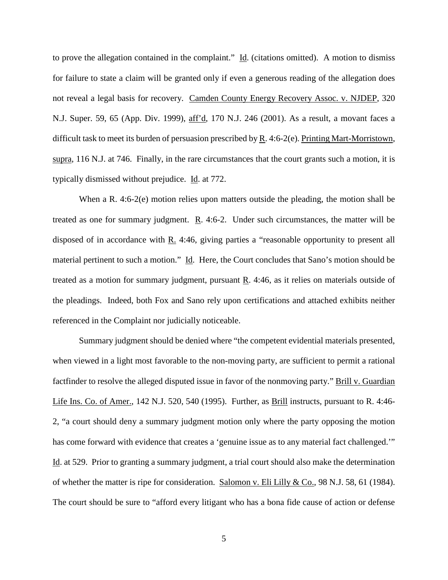to prove the allegation contained in the complaint."  $\underline{Id}$ . (citations omitted). A motion to dismiss for failure to state a claim will be granted only if even a generous reading of the allegation does not reveal a legal basis for recovery. Camden County Energy Recovery Assoc. v. NJDEP, 320 N.J. Super. 59, 65 (App. Div. 1999), aff'd, 170 N.J. 246 (2001). As a result, a movant faces a difficult task to meet its burden of persuasion prescribed by R. 4:6-2(e). Printing Mart-Morristown, supra, 116 N.J. at 746. Finally, in the rare circumstances that the court grants such a motion, it is typically dismissed without prejudice. Id. at 772.

When a R. 4:6-2(e) motion relies upon matters outside the pleading, the motion shall be treated as one for summary judgment. R. 4:6-2. Under such circumstances, the matter will be disposed of in accordance with R. 4:46, giving parties a "reasonable opportunity to present all material pertinent to such a motion." Id. Here, the Court concludes that Sano's motion should be treated as a motion for summary judgment, pursuant R. 4:46, as it relies on materials outside of the pleadings. Indeed, both Fox and Sano rely upon certifications and attached exhibits neither referenced in the Complaint nor judicially noticeable.

Summary judgment should be denied where "the competent evidential materials presented, when viewed in a light most favorable to the non-moving party, are sufficient to permit a rational factfinder to resolve the alleged disputed issue in favor of the nonmoving party." Brill v. Guardian Life Ins. Co. of Amer., 142 N.J. 520, 540 (1995). Further, as Brill instructs, pursuant to R. 4:46- 2, "a court should deny a summary judgment motion only where the party opposing the motion has come forward with evidence that creates a 'genuine issue as to any material fact challenged.'" Id. at 529. Prior to granting a summary judgment, a trial court should also make the determination of whether the matter is ripe for consideration. Salomon v. Eli Lilly & Co., 98 N.J. 58, 61 (1984). The court should be sure to "afford every litigant who has a bona fide cause of action or defense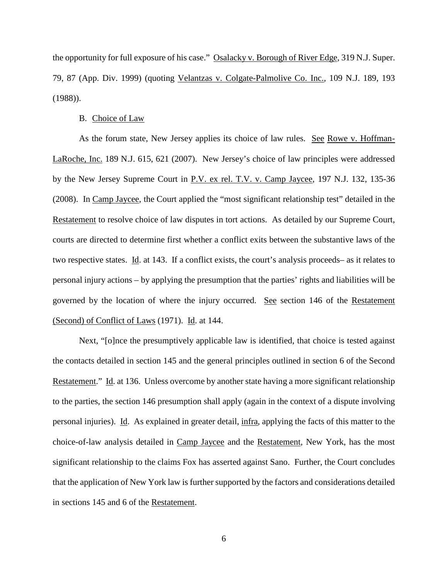the opportunity for full exposure of his case." Osalacky v. Borough of River Edge, 319 N.J. Super. 79, 87 (App. Div. 1999) (quoting Velantzas v. Colgate-Palmolive Co. Inc., 109 N.J. 189, 193 (1988)).

### B. Choice of Law

As the forum state, New Jersey applies its choice of law rules. See Rowe v. Hoffman-LaRoche, Inc. 189 N.J. 615, 621 (2007). New Jersey's choice of law principles were addressed by the New Jersey Supreme Court in P.V. ex rel. T.V. v. Camp Jaycee, 197 N.J. 132, 135-36 (2008). In Camp Jaycee, the Court applied the "most significant relationship test" detailed in the Restatement to resolve choice of law disputes in tort actions. As detailed by our Supreme Court, courts are directed to determine first whether a conflict exits between the substantive laws of the two respective states. Id. at 143. If a conflict exists, the court's analysis proceeds– as it relates to personal injury actions – by applying the presumption that the parties' rights and liabilities will be governed by the location of where the injury occurred. See section 146 of the Restatement (Second) of Conflict of Laws (1971). Id. at 144.

Next, "[o]nce the presumptively applicable law is identified, that choice is tested against the contacts detailed in section 145 and the general principles outlined in section 6 of the Second Restatement." Id. at 136. Unless overcome by another state having a more significant relationship to the parties, the section 146 presumption shall apply (again in the context of a dispute involving personal injuries). Id. As explained in greater detail, infra, applying the facts of this matter to the choice-of-law analysis detailed in Camp Jaycee and the Restatement, New York, has the most significant relationship to the claims Fox has asserted against Sano. Further, the Court concludes that the application of New York law is further supported by the factors and considerations detailed in sections 145 and 6 of the Restatement.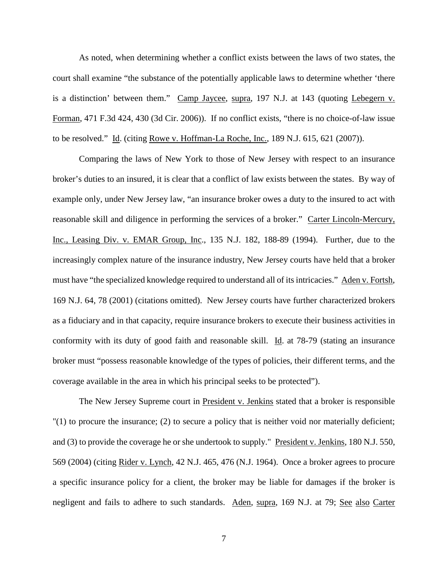As noted, when determining whether a conflict exists between the laws of two states, the court shall examine "the substance of the potentially applicable laws to determine whether 'there is a distinction' between them." Camp Jaycee, supra, 197 N.J. at 143 (quoting Lebegern v. Forman, 471 F.3d 424, 430 (3d Cir. 2006)). If no conflict exists, "there is no choice-of-law issue to be resolved." Id. (citing Rowe v. Hoffman-La Roche, Inc., 189 N.J. 615, 621 (2007)).

Comparing the laws of New York to those of New Jersey with respect to an insurance broker's duties to an insured, it is clear that a conflict of law exists between the states. By way of example only, under New Jersey law, "an insurance broker owes a duty to the insured to act with reasonable skill and diligence in performing the services of a broker." Carter Lincoln-Mercury, Inc., Leasing Div. v. EMAR Group, Inc., 135 N.J. 182, 188-89 (1994). Further, due to the increasingly complex nature of the insurance industry, New Jersey courts have held that a broker must have "the specialized knowledge required to understand all of its intricacies." Aden v. Fortsh, 169 N.J. 64, 78 (2001) (citations omitted). New Jersey courts have further characterized brokers as a fiduciary and in that capacity, require insurance brokers to execute their business activities in conformity with its duty of good faith and reasonable skill. Id. at 78-79 (stating an insurance broker must "possess reasonable knowledge of the types of policies, their different terms, and the coverage available in the area in which his principal seeks to be protected").

The New Jersey Supreme court in President v. Jenkins stated that a broker is responsible "(1) to procure the insurance; (2) to secure a policy that is neither void nor materially deficient; and (3) to provide the coverage he or she undertook to supply." President v. Jenkins, 180 N.J. 550, 569 (2004) (citing Rider v. Lynch, 42 N.J. 465, 476 (N.J. 1964). Once a broker agrees to procure a specific insurance policy for a client, the broker may be liable for damages if the broker is negligent and fails to adhere to such standards. Aden, supra, 169 N.J. at 79; See also Carter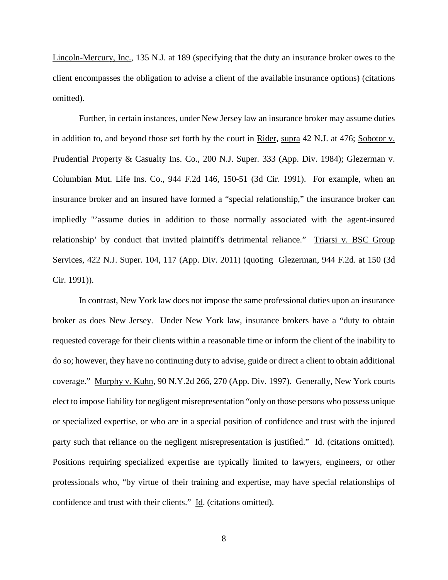Lincoln-Mercury, Inc., 135 N.J. at 189 (specifying that the duty an insurance broker owes to the client encompasses the obligation to advise a client of the available insurance options) (citations omitted).

Further, in certain instances, under New Jersey law an insurance broker may assume duties in addition to, and beyond those set forth by the court in Rider, supra 42 N.J. at 476; Sobotor v. Prudential Property & Casualty Ins. Co., 200 N.J. Super. 333 (App. Div. 1984); Glezerman v. Columbian Mut. Life Ins. Co., 944 F.2d 146, 150-51 (3d Cir. 1991). For example, when an insurance broker and an insured have formed a "special relationship," the insurance broker can impliedly "'assume duties in addition to those normally associated with the agent-insured relationship' by conduct that invited plaintiff's detrimental reliance." Triarsi v. BSC Group Services, 422 N.J. Super. 104, 117 (App. Div. 2011) (quoting Glezerman, 944 F.2d. at 150 (3d Cir. 1991)).

In contrast, New York law does not impose the same professional duties upon an insurance broker as does New Jersey. Under New York law, insurance brokers have a "duty to obtain requested coverage for their clients within a reasonable time or inform the client of the inability to do so; however, they have no continuing duty to advise, guide or direct a client to obtain additional coverage." Murphy v. Kuhn, 90 N.Y.2d 266, 270 (App. Div. 1997). Generally, New York courts elect to impose liability for negligent misrepresentation "only on those persons who possess unique or specialized expertise, or who are in a special position of confidence and trust with the injured party such that reliance on the negligent misrepresentation is justified." Id. (citations omitted). Positions requiring specialized expertise are typically limited to lawyers, engineers, or other professionals who, "by virtue of their training and expertise, may have special relationships of confidence and trust with their clients." Id. (citations omitted).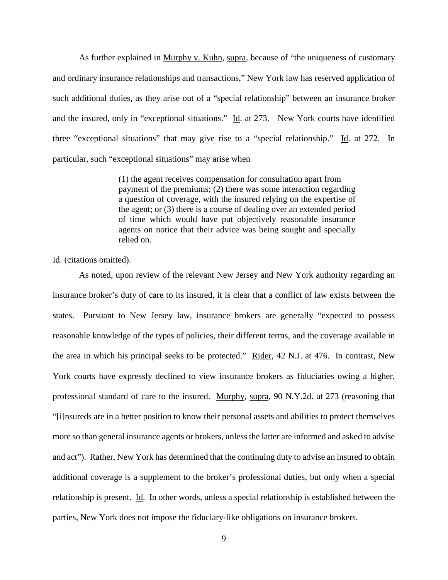As further explained in Murphy v. Kuhn, supra, because of "the uniqueness of customary and ordinary insurance relationships and transactions," New York law has reserved application of such additional duties, as they arise out of a "special relationship" between an insurance broker and the insured, only in "exceptional situations."  $\underline{Id}$ . at 273. New York courts have identified three "exceptional situations" that may give rise to a "special relationship." Id. at 272. In particular, such "exceptional situations" may arise when

> (1) the agent receives compensation for consultation apart from payment of the premiums; (2) there was some interaction regarding a question of coverage, with the insured relying on the expertise of the agent; or (3) there is a course of dealing over an extended period of time which would have put objectively reasonable insurance agents on notice that their advice was being sought and specially relied on.

#### Id. (citations omitted).

As noted, upon review of the relevant New Jersey and New York authority regarding an insurance broker's duty of care to its insured, it is clear that a conflict of law exists between the states. Pursuant to New Jersey law, insurance brokers are generally "expected to possess reasonable knowledge of the types of policies, their different terms, and the coverage available in the area in which his principal seeks to be protected." Rider, 42 N.J. at 476. In contrast, New York courts have expressly declined to view insurance brokers as fiduciaries owing a higher, professional standard of care to the insured. Murphy, supra, 90 N.Y.2d. at 273 (reasoning that "[i]nsureds are in a better position to know their personal assets and abilities to protect themselves more so than general insurance agents or brokers, unless the latter are informed and asked to advise and act"). Rather, New York has determined that the continuing duty to advise an insured to obtain additional coverage is a supplement to the broker's professional duties, but only when a special relationship is present. Id. In other words, unless a special relationship is established between the parties, New York does not impose the fiduciary-like obligations on insurance brokers.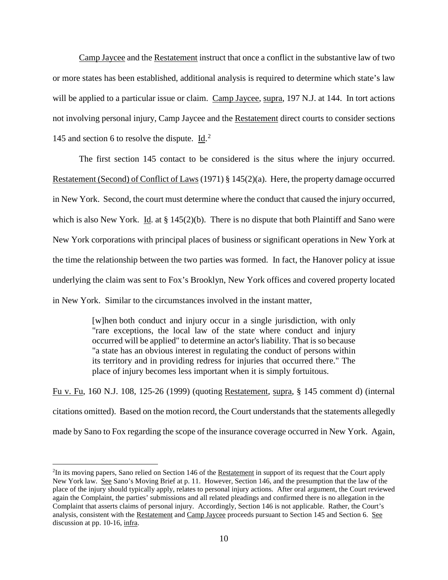Camp Jaycee and the Restatement instruct that once a conflict in the substantive law of two or more states has been established, additional analysis is required to determine which state's law will be applied to a particular issue or claim. Camp Jaycee, supra, 197 N.J. at 144. In tort actions not involving personal injury, Camp Jaycee and the Restatement direct courts to consider sections 145 and section 6 to resolve the dispute.  $\underline{Id}^2$  $\underline{Id}^2$ .

The first section 145 contact to be considered is the situs where the injury occurred. Restatement (Second) of Conflict of Laws (1971) § 145(2)(a). Here, the property damage occurred in New York. Second, the court must determine where the conduct that caused the injury occurred, which is also New York. Id. at  $\S 145(2)(b)$ . There is no dispute that both Plaintiff and Sano were New York corporations with principal places of business or significant operations in New York at the time the relationship between the two parties was formed. In fact, the Hanover policy at issue underlying the claim was sent to Fox's Brooklyn, New York offices and covered property located in New York. Similar to the circumstances involved in the instant matter,

> [w]hen both conduct and injury occur in a single jurisdiction, with only "rare exceptions, the local law of the state where conduct and injury occurred will be applied" to determine an actor's liability. That is so because "a state has an obvious interest in regulating the conduct of persons within its territory and in providing redress for injuries that occurred there." The place of injury becomes less important when it is simply fortuitous.

Fu v. Fu, 160 N.J. 108, 125-26 (1999) (quoting Restatement*,* supra, § 145 comment d) (internal citations omitted). Based on the motion record, the Court understands that the statements allegedly made by Sano to Fox regarding the scope of the insurance coverage occurred in New York. Again,

<span id="page-9-0"></span> $\frac{1}{2}$ <sup>2</sup>In its moving papers, Sano relied on Section 146 of the Restatement in support of its request that the Court apply New York law. See Sano's Moving Brief at p. 11. However, Section 146, and the presumption that the law of the place of the injury should typically apply, relates to personal injury actions. After oral argument, the Court reviewed again the Complaint, the parties' submissions and all related pleadings and confirmed there is no allegation in the Complaint that asserts claims of personal injury. Accordingly, Section 146 is not applicable. Rather, the Court's analysis, consistent with the Restatement and Camp Jaycee proceeds pursuant to Section 145 and Section 6. See discussion at pp. 10-16, infra.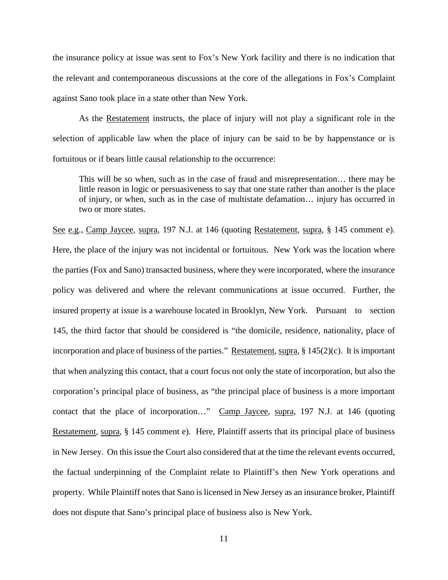the insurance policy at issue was sent to Fox's New York facility and there is no indication that the relevant and contemporaneous discussions at the core of the allegations in Fox's Complaint against Sano took place in a state other than New York.

As the Restatement instructs, the place of injury will not play a significant role in the selection of applicable law when the place of injury can be said to be by happenstance or is fortuitous or if bears little causal relationship to the occurrence:

This will be so when, such as in the case of fraud and misrepresentation… there may be little reason in logic or persuasiveness to say that one state rather than another is the place of injury, or when, such as in the case of multistate defamation… injury has occurred in two or more states.

See e.g., Camp Jaycee, supra, 197 N.J. at 146 (quoting Restatement, *supra*, § 145 comment e). Here, the place of the injury was not incidental or fortuitous. New York was the location where the parties (Fox and Sano) transacted business, where they were incorporated, where the insurance policy was delivered and where the relevant communications at issue occurred. Further, the insured property at issue is a warehouse located in Brooklyn, New York. Pursuant to section 145, the third factor that should be considered is "the domicile, residence, nationality, place of incorporation and place of business of the parties." Restatement, supra, § 145(2)(c). It is important that when analyzing this contact, that a court focus not only the state of incorporation, but also the corporation's principal place of business, as "the principal place of business is a more important contact that the place of incorporation…" Camp Jaycee, supra, 197 N.J. at 146 (quoting Restatement*,* supra, § 145 comment e). Here, Plaintiff asserts that its principal place of business in New Jersey. On this issue the Court also considered that at the time the relevant events occurred, the factual underpinning of the Complaint relate to Plaintiff's then New York operations and property. While Plaintiff notes that Sano is licensed in New Jersey as an insurance broker, Plaintiff does not dispute that Sano's principal place of business also is New York.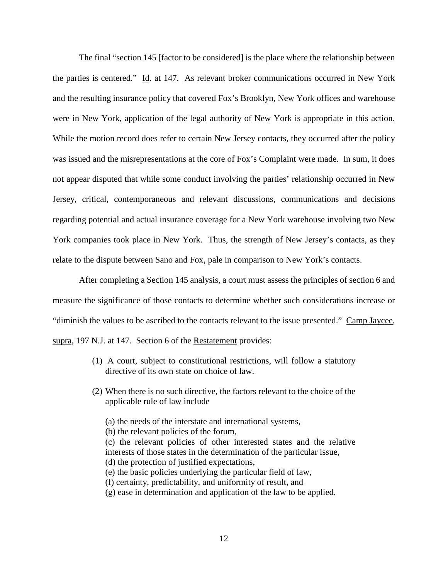The final "section 145 [factor to be considered] is the place where the relationship between the parties is centered." Id. at 147. As relevant broker communications occurred in New York and the resulting insurance policy that covered Fox's Brooklyn, New York offices and warehouse were in New York, application of the legal authority of New York is appropriate in this action. While the motion record does refer to certain New Jersey contacts, they occurred after the policy was issued and the misrepresentations at the core of Fox's Complaint were made. In sum, it does not appear disputed that while some conduct involving the parties' relationship occurred in New Jersey, critical, contemporaneous and relevant discussions, communications and decisions regarding potential and actual insurance coverage for a New York warehouse involving two New York companies took place in New York. Thus, the strength of New Jersey's contacts, as they relate to the dispute between Sano and Fox, pale in comparison to New York's contacts.

After completing a Section 145 analysis, a court must assess the principles of section 6 and measure the significance of those contacts to determine whether such considerations increase or "diminish the values to be ascribed to the contacts relevant to the issue presented." Camp Jaycee, supra, 197 N.J. at 147. Section 6 of the Restatement provides:

- (1) A court, subject to constitutional restrictions, will follow a statutory directive of its own state on choice of law.
- (2) When there is no such directive, the factors relevant to the choice of the applicable rule of law include
	- (a) the needs of the interstate and international systems,
	- (b) the relevant policies of the forum,
	- (c) the relevant policies of other interested states and the relative interests of those states in the determination of the particular issue, (d) the protection of justified expectations, (e) the basic policies underlying the particular field of law,
	- (f) certainty, predictability, and uniformity of result, and
	- (g) ease in determination and application of the law to be applied.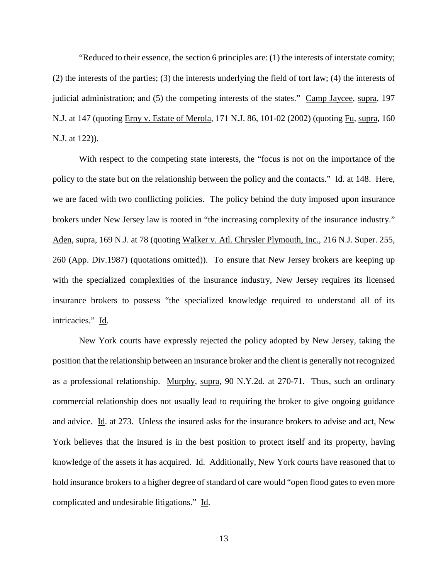"Reduced to their essence, the section 6 principles are: (1) the interests of interstate comity; (2) the interests of the parties; (3) the interests underlying the field of tort law; (4) the interests of judicial administration; and (5) the competing interests of the states." Camp Jaycee, supra, 197 N.J. at 147 (quoting Erny v. Estate of Merola, 171 N.J. 86, 101-02 (2002) (quoting Fu*,* supra, 160 N.J. at 122)).

With respect to the competing state interests, the "focus is not on the importance of the policy to the state but on the relationship between the policy and the contacts." Id. at 148. Here, we are faced with two conflicting policies. The policy behind the duty imposed upon insurance brokers under New Jersey law is rooted in "the increasing complexity of the insurance industry." Aden, supra, 169 N.J. at 78 (quoting Walker v. Atl. Chrysler Plymouth, Inc., 216 N.J. Super. 255, 260 (App. Div.1987) (quotations omitted)). To ensure that New Jersey brokers are keeping up with the specialized complexities of the insurance industry, New Jersey requires its licensed insurance brokers to possess "the specialized knowledge required to understand all of its intricacies." Id.

New York courts have expressly rejected the policy adopted by New Jersey, taking the position that the relationship between an insurance broker and the client is generally not recognized as a professional relationship. Murphy, supra, 90 N.Y.2d. at 270-71. Thus, such an ordinary commercial relationship does not usually lead to requiring the broker to give ongoing guidance and advice. Id. at 273. Unless the insured asks for the insurance brokers to advise and act, New York believes that the insured is in the best position to protect itself and its property, having knowledge of the assets it has acquired. Id. Additionally, New York courts have reasoned that to hold insurance brokers to a higher degree of standard of care would "open flood gates to even more complicated and undesirable litigations." Id.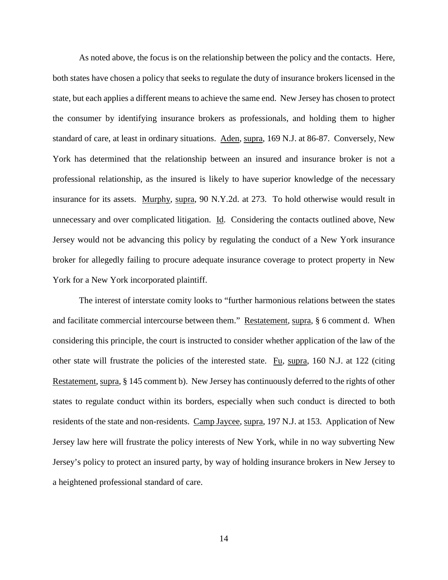As noted above, the focus is on the relationship between the policy and the contacts. Here, both states have chosen a policy that seeks to regulate the duty of insurance brokers licensed in the state, but each applies a different means to achieve the same end. New Jersey has chosen to protect the consumer by identifying insurance brokers as professionals, and holding them to higher standard of care, at least in ordinary situations. Aden, supra, 169 N.J. at 86-87. Conversely, New York has determined that the relationship between an insured and insurance broker is not a professional relationship, as the insured is likely to have superior knowledge of the necessary insurance for its assets. Murphy, supra, 90 N.Y.2d. at 273. To hold otherwise would result in unnecessary and over complicated litigation. Id. Considering the contacts outlined above, New Jersey would not be advancing this policy by regulating the conduct of a New York insurance broker for allegedly failing to procure adequate insurance coverage to protect property in New York for a New York incorporated plaintiff.

The interest of interstate comity looks to "further harmonious relations between the states and facilitate commercial intercourse between them." Restatement*,* supra, § 6 comment d. When considering this principle, the court is instructed to consider whether application of the law of the other state will frustrate the policies of the interested state. Fu, supra, 160 N.J. at 122 (citing Restatement, supra, § 145 comment b). New Jersey has continuously deferred to the rights of other states to regulate conduct within its borders, especially when such conduct is directed to both residents of the state and non-residents. Camp Jaycee, supra, 197 N.J. at 153. Application of New Jersey law here will frustrate the policy interests of New York, while in no way subverting New Jersey's policy to protect an insured party, by way of holding insurance brokers in New Jersey to a heightened professional standard of care.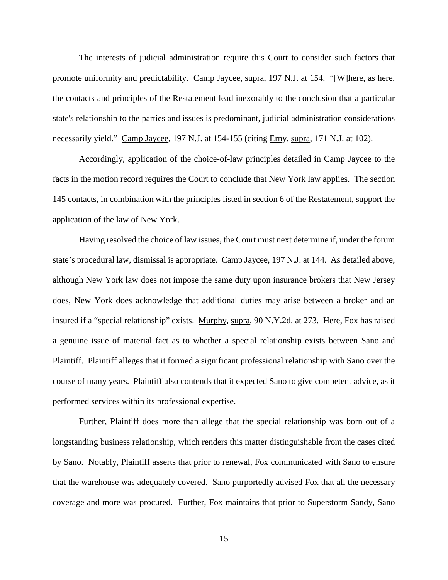The interests of judicial administration require this Court to consider such factors that promote uniformity and predictability. Camp Jaycee, supra, 197 N.J. at 154. "[W]here, as here, the contacts and principles of the Restatement lead inexorably to the conclusion that a particular state's relationship to the parties and issues is predominant, judicial administration considerations necessarily yield." Camp Jaycee, 197 N.J. at 154-155 (citing Erny*,* supra, 171 N.J. at 102).

Accordingly, application of the choice-of-law principles detailed in Camp Jaycee to the facts in the motion record requires the Court to conclude that New York law applies. The section 145 contacts, in combination with the principles listed in section 6 of the Restatement, support the application of the law of New York.

Having resolved the choice of law issues, the Court must next determine if, under the forum state's procedural law, dismissal is appropriate. Camp Jaycee, 197 N.J. at 144. As detailed above, although New York law does not impose the same duty upon insurance brokers that New Jersey does, New York does acknowledge that additional duties may arise between a broker and an insured if a "special relationship" exists. Murphy, supra, 90 N.Y.2d. at 273. Here, Fox has raised a genuine issue of material fact as to whether a special relationship exists between Sano and Plaintiff. Plaintiff alleges that it formed a significant professional relationship with Sano over the course of many years. Plaintiff also contends that it expected Sano to give competent advice, as it performed services within its professional expertise.

Further, Plaintiff does more than allege that the special relationship was born out of a longstanding business relationship, which renders this matter distinguishable from the cases cited by Sano. Notably, Plaintiff asserts that prior to renewal, Fox communicated with Sano to ensure that the warehouse was adequately covered. Sano purportedly advised Fox that all the necessary coverage and more was procured. Further, Fox maintains that prior to Superstorm Sandy, Sano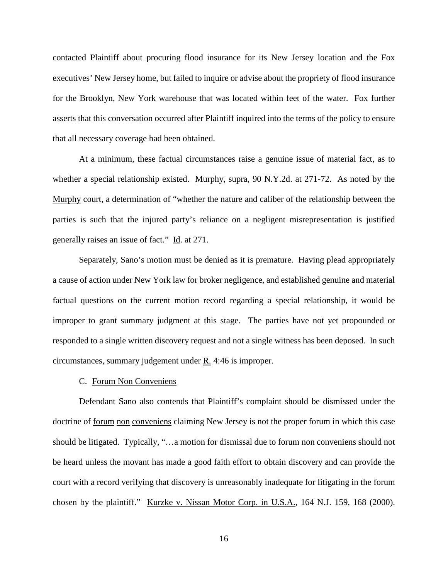contacted Plaintiff about procuring flood insurance for its New Jersey location and the Fox executives' New Jersey home, but failed to inquire or advise about the propriety of flood insurance for the Brooklyn, New York warehouse that was located within feet of the water. Fox further asserts that this conversation occurred after Plaintiff inquired into the terms of the policy to ensure that all necessary coverage had been obtained.

At a minimum, these factual circumstances raise a genuine issue of material fact, as to whether a special relationship existed. Murphy, supra, 90 N.Y.2d. at 271-72. As noted by the Murphy court, a determination of "whether the nature and caliber of the relationship between the parties is such that the injured party's reliance on a negligent misrepresentation is justified generally raises an issue of fact." Id. at 271.

Separately, Sano's motion must be denied as it is premature. Having plead appropriately a cause of action under New York law for broker negligence, and established genuine and material factual questions on the current motion record regarding a special relationship, it would be improper to grant summary judgment at this stage. The parties have not yet propounded or responded to a single written discovery request and not a single witness has been deposed. In such circumstances, summary judgement under R. 4:46 is improper.

#### C. Forum Non Conveniens

Defendant Sano also contends that Plaintiff's complaint should be dismissed under the doctrine of forum non conveniens claiming New Jersey is not the proper forum in which this case should be litigated. Typically, "…a motion for dismissal due to forum non conveniens should not be heard unless the movant has made a good faith effort to obtain discovery and can provide the court with a record verifying that discovery is unreasonably inadequate for litigating in the forum chosen by the plaintiff." Kurzke v. Nissan Motor Corp. in U.S.A., 164 N.J. 159, 168 (2000).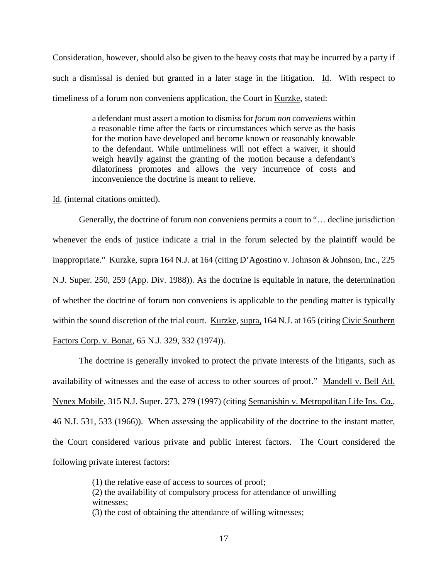Consideration, however, should also be given to the heavy costs that may be incurred by a party if such a dismissal is denied but granted in a later stage in the litigation. Id. With respect to timeliness of a forum non conveniens application, the Court in Kurzke, stated:

> a defendant must assert a motion to dismiss for *forum non conveniens* within a reasonable time after the facts or circumstances which serve as the basis for the motion have developed and become known or reasonably knowable to the defendant. While untimeliness will not effect a waiver, it should weigh heavily against the granting of the motion because a defendant's dilatoriness promotes and allows the very incurrence of costs and inconvenience the doctrine is meant to relieve.

Id. (internal citations omitted).

Generally, the doctrine of forum non conveniens permits a court to "… decline jurisdiction whenever the ends of justice indicate a trial in the forum selected by the plaintiff would be inappropriate." Kurzke, supra 164 N.J. at 164 (citing D'Agostino v. Johnson & Johnson, Inc., 225 N.J. Super. 250, 259 (App. Div. 1988)). As the doctrine is equitable in nature, the determination of whether the doctrine of forum non conveniens is applicable to the pending matter is typically within the sound discretion of the trial court. Kurzke, supra, 164 N.J. at 165 (citing Civic Southern Factors Corp. v. Bonat, 65 N.J. 329, 332 (1974)).

The doctrine is generally invoked to protect the private interests of the litigants, such as availability of witnesses and the ease of access to other sources of proof." Mandell v. Bell Atl. Nynex Mobile, 315 N.J. Super. 273, 279 (1997) (citing Semanishin v. Metropolitan Life Ins. Co., 46 N.J. 531, 533 (1966)). When assessing the applicability of the doctrine to the instant matter, the Court considered various private and public interest factors. The Court considered the following private interest factors:

> (1) the relative ease of access to sources of proof; (2) the availability of compulsory process for attendance of unwilling witnesses; (3) the cost of obtaining the attendance of willing witnesses;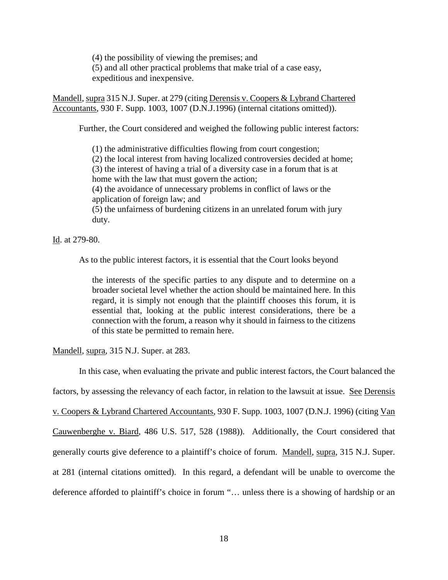(4) the possibility of viewing the premises; and (5) and all other practical problems that make trial of a case easy, expeditious and inexpensive.

Mandell, supra 315 N.J. Super. at 279 (citing Derensis v. Coopers & Lybrand Chartered Accountants*,* 930 F. Supp. 1003, 1007 (D.N.J.1996) (internal citations omitted)).

Further, the Court considered and weighed the following public interest factors:

(1) the administrative difficulties flowing from court congestion; (2) the local interest from having localized controversies decided at home; (3) the interest of having a trial of a diversity case in a forum that is at home with the law that must govern the action; (4) the avoidance of unnecessary problems in conflict of laws or the application of foreign law; and (5) the unfairness of burdening citizens in an unrelated forum with jury duty.

Id. at 279-80.

As to the public interest factors, it is essential that the Court looks beyond

the interests of the specific parties to any dispute and to determine on a broader societal level whether the action should be maintained here. In this regard, it is simply not enough that the plaintiff chooses this forum, it is essential that, looking at the public interest considerations, there be a connection with the forum, a reason why it should in fairness to the citizens of this state be permitted to remain here.

Mandell, supra, 315 N.J. Super. at 283.

In this case, when evaluating the private and public interest factors, the Court balanced the factors, by assessing the relevancy of each factor, in relation to the lawsuit at issue. See Derensis v. Coopers & Lybrand Chartered Accountants*,* 930 F. Supp. 1003, 1007 (D.N.J. 1996) (citing Van Cauwenberghe v. Biard, 486 U.S. 517, 528 (1988)). Additionally, the Court considered that generally courts give deference to a plaintiff's choice of forum. Mandell, supra, 315 N.J. Super. at 281 (internal citations omitted). In this regard, a defendant will be unable to overcome the deference afforded to plaintiff's choice in forum "… unless there is a showing of hardship or an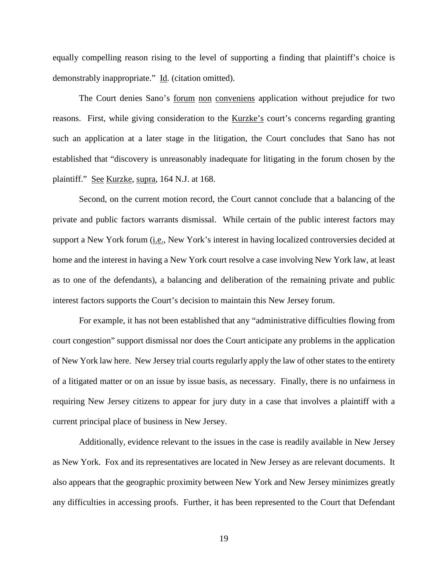equally compelling reason rising to the level of supporting a finding that plaintiff's choice is demonstrably inappropriate." Id. (citation omitted).

The Court denies Sano's <u>forum non conveniens</u> application without prejudice for two reasons. First, while giving consideration to the Kurzke's court's concerns regarding granting such an application at a later stage in the litigation, the Court concludes that Sano has not established that "discovery is unreasonably inadequate for litigating in the forum chosen by the plaintiff." See Kurzke, supra, 164 N.J. at 168.

Second, on the current motion record, the Court cannot conclude that a balancing of the private and public factors warrants dismissal. While certain of the public interest factors may support a New York forum (i.e., New York's interest in having localized controversies decided at home and the interest in having a New York court resolve a case involving New York law, at least as to one of the defendants), a balancing and deliberation of the remaining private and public interest factors supports the Court's decision to maintain this New Jersey forum.

For example, it has not been established that any "administrative difficulties flowing from court congestion" support dismissal nor does the Court anticipate any problems in the application of New York law here. New Jersey trial courts regularly apply the law of other states to the entirety of a litigated matter or on an issue by issue basis, as necessary. Finally, there is no unfairness in requiring New Jersey citizens to appear for jury duty in a case that involves a plaintiff with a current principal place of business in New Jersey.

Additionally, evidence relevant to the issues in the case is readily available in New Jersey as New York. Fox and its representatives are located in New Jersey as are relevant documents. It also appears that the geographic proximity between New York and New Jersey minimizes greatly any difficulties in accessing proofs. Further, it has been represented to the Court that Defendant